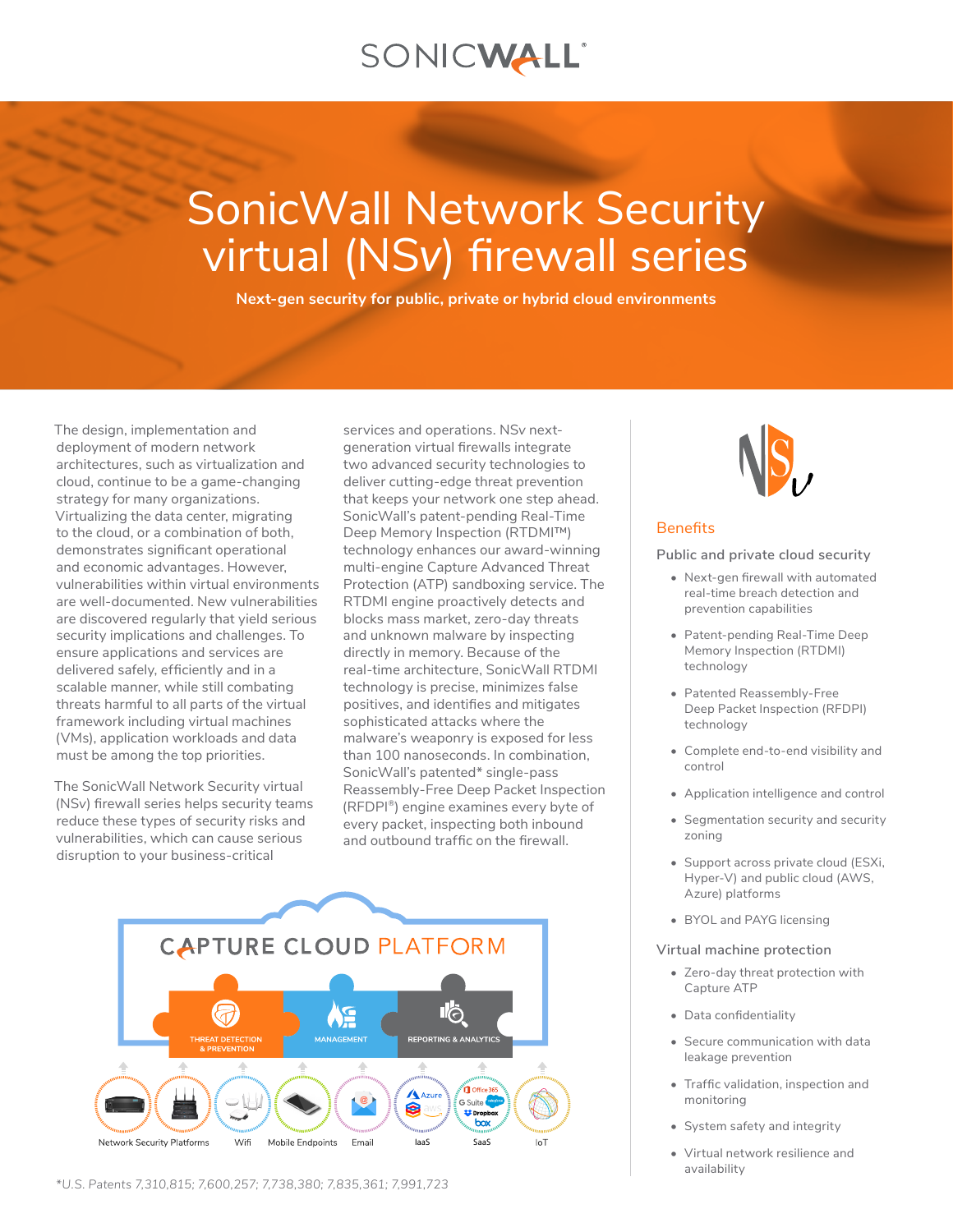# SONICWALL®

# SonicWall Network Security virtual (NS*v*) firewall series

**Next-gen security for public, private or hybrid cloud environments**

The design, implementation and deployment of modern network architectures, such as virtualization and cloud, continue to be a game-changing strategy for many organizations. Virtualizing the data center, migrating to the cloud, or a combination of both, demonstrates significant operational and economic advantages. However, vulnerabilities within virtual environments are well-documented. New vulnerabilities are discovered regularly that yield serious security implications and challenges. To ensure applications and services are delivered safely, efficiently and in a scalable manner, while still combating threats harmful to all parts of the virtual framework including virtual machines (VMs), application workloads and data must be among the top priorities.

The SonicWall Network Security virtual (NS*v*) firewall series helps security teams reduce these types of security risks and vulnerabilities, which can cause serious disruption to your business-critical

services and operations. NS*v* nextgeneration virtual firewalls integrate two advanced security technologies to deliver cutting-edge threat prevention that keeps your network one step ahead. SonicWall's patent-pending Real-Time Deep Memory Inspection (RTDMI™) technology enhances our award-winning multi-engine Capture Advanced Threat Protection (ATP) sandboxing service. The RTDMI engine proactively detects and blocks mass market, zero-day threats and unknown malware by inspecting directly in memory. Because of the real-time architecture, SonicWall RTDMI technology is precise, minimizes false positives, and identifies and mitigates sophisticated attacks where the malware's weaponry is exposed for less than 100 nanoseconds. In combination, SonicWall's patented\* single-pass Reassembly-Free Deep Packet Inspection (RFDPI®) engine examines every byte of every packet, inspecting both inbound and outbound traffic on the firewall.





#### **Benefits**

**Public and private cloud security**

- Next-gen firewall with automated real-time breach detection and prevention capabilities
- Patent-pending Real-Time Deep Memory Inspection (RTDMI) technology
- Patented Reassembly-Free Deep Packet Inspection (RFDPI) technology
- Complete end-to-end visibility and control
- Application intelligence and control
- Segmentation security and security zoning
- Support across private cloud (ESXi, Hyper-V) and public cloud (AWS, Azure) platforms
- BYOL and PAYG licensing

#### **Virtual machine protection**

- Zero-day threat protection with Capture ATP
- Data confidentiality
- Secure communication with data leakage prevention
- Traffic validation, inspection and monitoring
- System safety and integrity
- Virtual network resilience and availability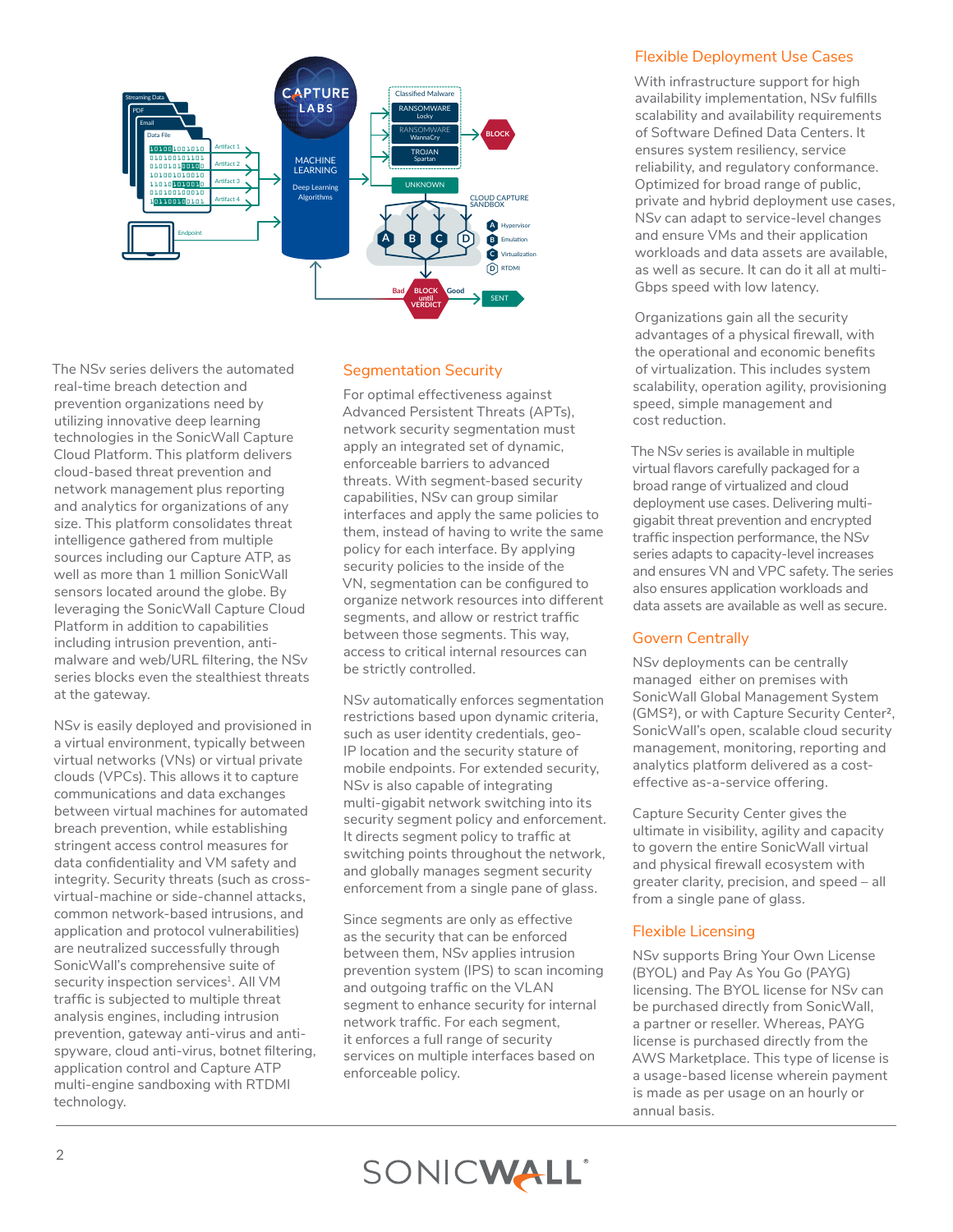

The NS*v* series delivers the automated real-time breach detection and prevention organizations need by utilizing innovative deep learning technologies in the SonicWall Capture Cloud Platform. This platform delivers cloud-based threat prevention and network management plus reporting and analytics for organizations of any size. This platform consolidates threat intelligence gathered from multiple sources including our Capture ATP, as well as more than 1 million SonicWall sensors located around the globe. By leveraging the SonicWall Capture Cloud Platform in addition to capabilities including intrusion prevention, antimalware and web/URL filtering, the NS*v* series blocks even the stealthiest threats at the gateway.

NS*v* is easily deployed and provisioned in a virtual environment, typically between virtual networks (VNs) or virtual private clouds (VPCs). This allows it to capture communications and data exchanges between virtual machines for automated breach prevention, while establishing stringent access control measures for data confidentiality and VM safety and integrity. Security threats (such as crossvirtual-machine or side-channel attacks, common network-based intrusions, and application and protocol vulnerabilities) are neutralized successfully through SonicWall's comprehensive suite of security inspection services<sup>1</sup>. All VM traffic is subjected to multiple threat analysis engines, including intrusion prevention, gateway anti-virus and antispyware, cloud anti-virus, botnet filtering, application control and Capture ATP multi-engine sandboxing with RTDMI technology.

## Segmentation Security

For optimal effectiveness against Advanced Persistent Threats (APTs), network security segmentation must apply an integrated set of dynamic, enforceable barriers to advanced threats. With segment-based security capabilities, NS*v* can group similar interfaces and apply the same policies to them, instead of having to write the same policy for each interface. By applying security policies to the inside of the VN, segmentation can be configured to organize network resources into different segments, and allow or restrict traffic between those segments. This way, access to critical internal resources can be strictly controlled.

NS*v* automatically enforces segmentation restrictions based upon dynamic criteria, such as user identity credentials, geo-IP location and the security stature of mobile endpoints. For extended security, NS*v* is also capable of integrating multi-gigabit network switching into its security segment policy and enforcement. It directs segment policy to traffic at switching points throughout the network, and globally manages segment security enforcement from a single pane of glass.

Since segments are only as effective as the security that can be enforced between them, NS*v* applies intrusion prevention system (IPS) to scan incoming and outgoing traffic on the VLAN segment to enhance security for internal network traffic. For each segment, it enforces a full range of security services on multiple interfaces based on enforceable policy.

#### Flexible Deployment Use Cases

With infrastructure support for high availability implementation, NS*v* fulfills scalability and availability requirements of Software Defined Data Centers. It ensures system resiliency, service reliability, and regulatory conformance. Optimized for broad range of public, private and hybrid deployment use cases, NS*v* can adapt to service-level changes and ensure VMs and their application workloads and data assets are available, as well as secure. It can do it all at multi-Gbps speed with low latency.

Organizations gain all the security advantages of a physical firewall, with the operational and economic benefits of virtualization. This includes system scalability, operation agility, provisioning speed, simple management and cost reduction.

The NS*v* series is available in multiple virtual flavors carefully packaged for a broad range of virtualized and cloud deployment use cases. Delivering multigigabit threat prevention and encrypted traffic inspection performance, the NS*v* series adapts to capacity-level increases and ensures VN and VPC safety. The series also ensures application workloads and data assets are available as well as secure.

## Govern Centrally

NS*v* deployments can be centrally managed either on premises with SonicWall Global Management System (GMS²), or with Capture Security Center², SonicWall's open, scalable cloud security management, monitoring, reporting and analytics platform delivered as a costeffective as-a-service offering.

Capture Security Center gives the ultimate in visibility, agility and capacity to govern the entire SonicWall virtual and physical firewall ecosystem with greater clarity, precision, and speed – all from a single pane of glass.

#### Flexible Licensing

NS*v* supports Bring Your Own License (BYOL) and Pay As You Go (PAYG) licensing. The BYOL license for NS*v* can be purchased directly from SonicWall, a partner or reseller. Whereas, PAYG license is purchased directly from the AWS Marketplace. This type of license is a usage-based license wherein payment is made as per usage on an hourly or annual basis.

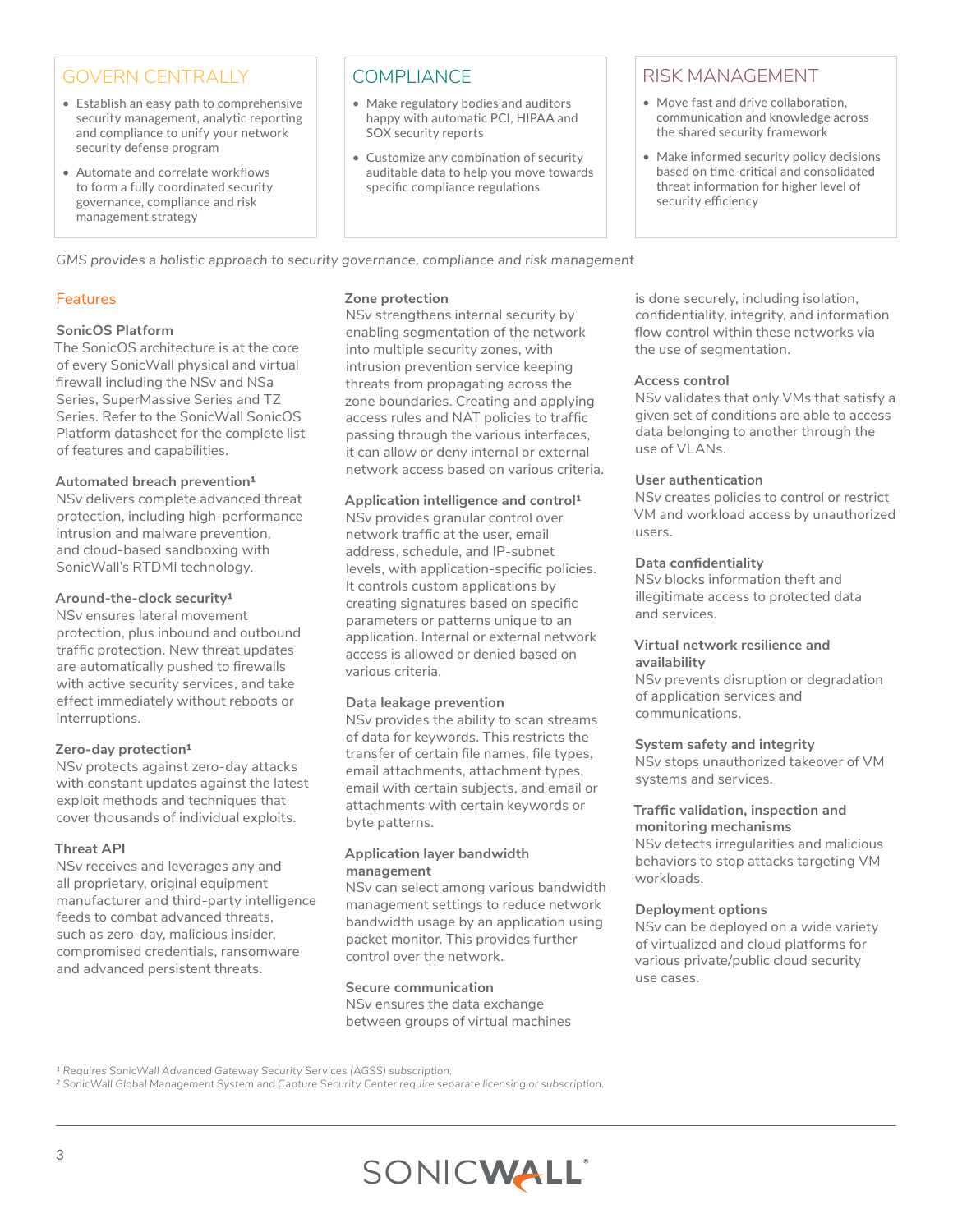# GOVERN CENTRALLY

- Establish an easy path to comprehensive security management, analytic reporting and compliance to unify your network security defense program
- Automate and correlate workflows to form a fully coordinated security governance, compliance and risk management strategy

# **COMPLIANCE**

- Make regulatory bodies and auditors happy with automatic PCI, HIPAA and SOX security reports
- Customize any combination of security auditable data to help you move towards specific compliance regulations

# RISK MANAGEMENT

- Move fast and drive collaboration, communication and knowledge across the shared security framework
- Make informed security policy decisions based on time-critical and consolidated threat information for higher level of security efficiency

*GMS provides a holistic approach to security governance, compliance and risk management*

## **Features**

## **SonicOS Platform**

The SonicOS architecture is at the core of every SonicWall physical and virtual firewall including the NS*v* and NS*a* Series, SuperMassive Series and TZ Series. Refer to the SonicWall SonicOS Platform datasheet for the complete list of features and capabilities.

#### **Automated breach prevention1**

NS*v* delivers complete advanced threat protection, including high-performance intrusion and malware prevention, and cloud-based sandboxing with SonicWall's RTDMI technology.

#### **Around-the-clock security1**

NS*v* ensures lateral movement protection, plus inbound and outbound traffic protection. New threat updates are automatically pushed to firewalls with active security services, and take effect immediately without reboots or interruptions.

## **Zero-day protection1**

NS*v* protects against zero-day attacks with constant updates against the latest exploit methods and techniques that cover thousands of individual exploits.

## **Threat API**

NS*v* receives and leverages any and all proprietary, original equipment manufacturer and third-party intelligence feeds to combat advanced threats, such as zero-day, malicious insider, compromised credentials, ransomware and advanced persistent threats.

#### **Zone protection**

NS*v* strengthens internal security by enabling segmentation of the network into multiple security zones, with intrusion prevention service keeping threats from propagating across the zone boundaries. Creating and applying access rules and NAT policies to traffic passing through the various interfaces, it can allow or deny internal or external network access based on various criteria.

#### **Application intelligence and control1**

NS*v* provides granular control over network traffic at the user, email address, schedule, and IP-subnet levels, with application-specific policies. It controls custom applications by creating signatures based on specific parameters or patterns unique to an application. Internal or external network access is allowed or denied based on various criteria.

## **Data leakage prevention**

NS*v* provides the ability to scan streams of data for keywords. This restricts the transfer of certain file names, file types, email attachments, attachment types, email with certain subjects, and email or attachments with certain keywords or byte patterns.

#### **Application layer bandwidth management**

NS*v* can select among various bandwidth management settings to reduce network bandwidth usage by an application using packet monitor. This provides further control over the network.

#### **Secure communication**

NS*v* ensures the data exchange between groups of virtual machines is done securely, including isolation, confidentiality, integrity, and information flow control within these networks via the use of segmentation.

#### **Access control**

NS*v* validates that only VMs that satisfy a given set of conditions are able to access data belonging to another through the use of VLANs.

#### **User authentication**

NS*v* creates policies to control or restrict VM and workload access by unauthorized users.

#### **Data confidentiality**

NS*v* blocks information theft and illegitimate access to protected data and services.

#### **Virtual network resilience and availability**

NS*v* prevents disruption or degradation of application services and communications.

## **System safety and integrity**

NS*v* stops unauthorized takeover of VM systems and services.

#### **Traffic validation, inspection and monitoring mechanisms**

NS*v* detects irregularities and malicious behaviors to stop attacks targeting VM workloads.

#### **Deployment options**

NS*v* can be deployed on a wide variety of virtualized and cloud platforms for various private/public cloud security use cases.

*² SonicWall Global Management System and Capture Security Center require separate licensing or subscription.*



<sup>&</sup>lt;sup>1</sup> Requires SonicWall Advanced Gateway Security Services (AGSS) subscription.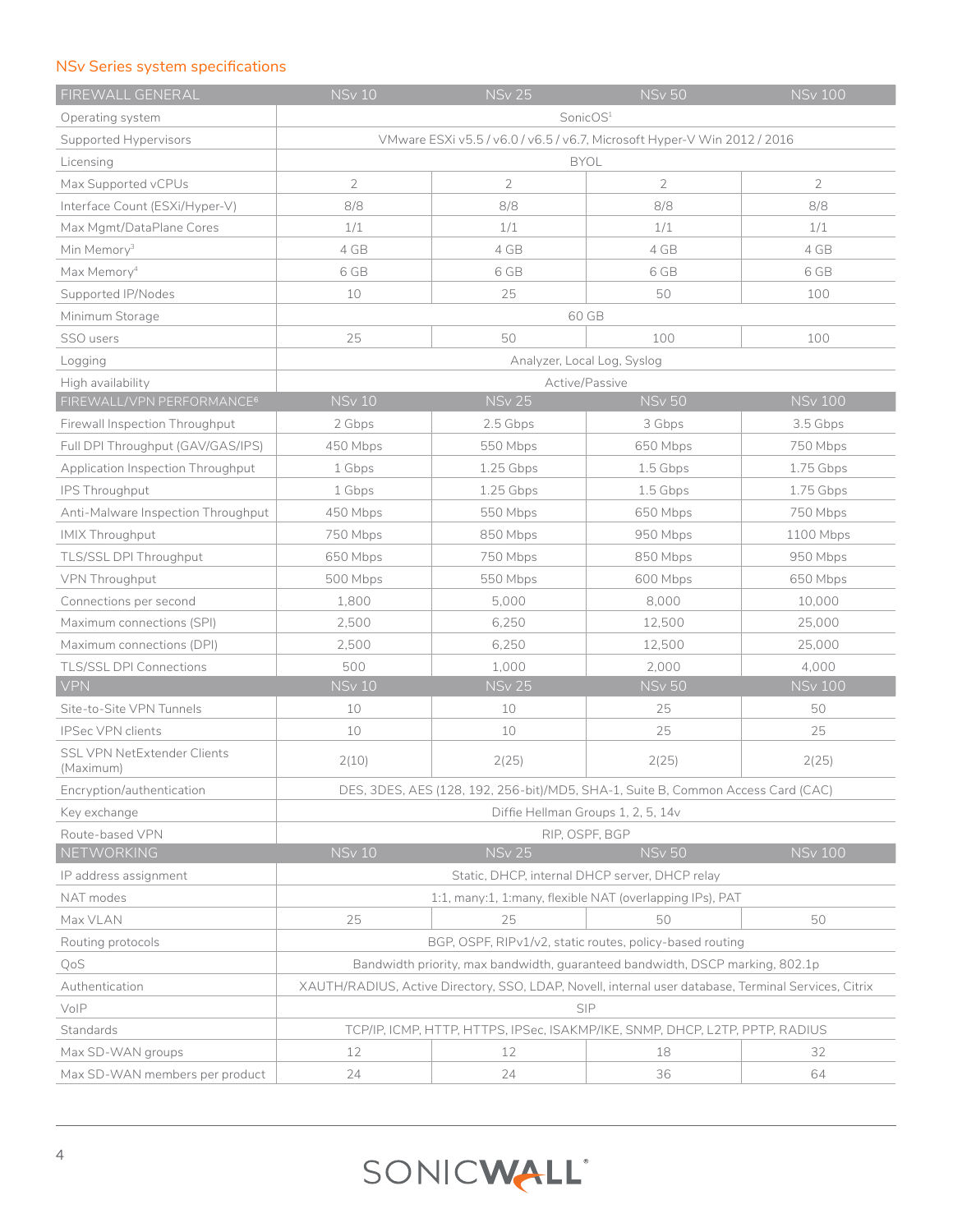## NS*v* Series system specifications

| FIREWALL GENERAL                                | <b>NSv 10</b>                                                                                        | <b>NSv 25</b>                                  | <b>NSv 50</b>                      | <b>NSv 100</b> |
|-------------------------------------------------|------------------------------------------------------------------------------------------------------|------------------------------------------------|------------------------------------|----------------|
| Operating system                                | SonicOS <sup>1</sup>                                                                                 |                                                |                                    |                |
| Supported Hypervisors                           | VMware ESXi v5.5 / v6.0 / v6.5 / v6.7, Microsoft Hyper-V Win 2012 / 2016                             |                                                |                                    |                |
| Licensing                                       | <b>BYOL</b>                                                                                          |                                                |                                    |                |
| Max Supported vCPUs                             | $\overline{2}$                                                                                       | $\overline{2}$                                 | 2                                  | $\overline{2}$ |
| Interface Count (ESXi/Hyper-V)                  | 8/8                                                                                                  | 8/8                                            | 8/8                                | 8/8            |
| Max Mgmt/DataPlane Cores                        | 1/1                                                                                                  | 1/1                                            | 1/1                                | 1/1            |
| Min Memory <sup>3</sup>                         | 4 GB                                                                                                 | 4 GB                                           | 4 GB                               | 4 GB           |
| Max Memory <sup>4</sup>                         | 6 GB                                                                                                 | 6 GB                                           | 6 GB                               | 6 GB           |
| Supported IP/Nodes                              | 10                                                                                                   | 25                                             | 50                                 | 100            |
| Minimum Storage                                 |                                                                                                      | 60 GB                                          |                                    |                |
| SSO users                                       | 25                                                                                                   | 50                                             | 100                                | 100            |
| Logging                                         |                                                                                                      | Analyzer, Local Log, Syslog                    |                                    |                |
| High availability                               |                                                                                                      | Active/Passive                                 |                                    |                |
| FIREWALL/VPN PERFORMANCE <sup>6</sup>           | <b>NSv 10</b>                                                                                        | <b>NSv 25</b>                                  | <b>NSv 50</b>                      | <b>NSv 100</b> |
| Firewall Inspection Throughput                  | 2 Gbps                                                                                               | 2.5 Gbps                                       | 3 Gbps                             | 3.5 Gbps       |
| Full DPI Throughput (GAV/GAS/IPS)               | 450 Mbps                                                                                             | 550 Mbps                                       | 650 Mbps                           | 750 Mbps       |
| Application Inspection Throughput               | 1 Gbps                                                                                               | 1.25 Gbps                                      | 1.5 Gbps                           | 1.75 Gbps      |
| IPS Throughput                                  | 1 Gbps                                                                                               | 1.25 Gbps                                      | 1.5 Gbps                           | 1.75 Gbps      |
| Anti-Malware Inspection Throughput              | 450 Mbps                                                                                             | 550 Mbps                                       | 650 Mbps                           | 750 Mbps       |
| <b>IMIX Throughput</b>                          | 750 Mbps                                                                                             | 850 Mbps                                       | 950 Mbps                           | 1100 Mbps      |
| TLS/SSL DPI Throughput                          | 650 Mbps                                                                                             | 750 Mbps                                       | 850 Mbps                           | 950 Mbps       |
| VPN Throughput                                  | 500 Mbps                                                                                             | 550 Mbps                                       | 600 Mbps                           | 650 Mbps       |
| Connections per second                          | 1,800                                                                                                | 5,000                                          | 8,000                              | 10,000         |
| Maximum connections (SPI)                       | 2,500                                                                                                | 6,250                                          | 12,500                             | 25,000         |
| Maximum connections (DPI)                       | 2,500                                                                                                | 6,250                                          | 12,500                             | 25,000         |
| <b>TLS/SSL DPI Connections</b>                  | 500                                                                                                  | 1,000                                          | 2,000                              | 4,000          |
| <b>VPN</b>                                      | <b>NSv 10</b>                                                                                        | <b>NSv 25</b>                                  | <b>NSv 50</b>                      | <b>NSv 100</b> |
| Site-to-Site VPN Tunnels                        | 10                                                                                                   | 10                                             | 25                                 | 50             |
| <b>IPSec VPN clients</b>                        | 10                                                                                                   | 10                                             | 25                                 | 25             |
| <b>SSL VPN NetExtender Clients</b><br>(Maximum) | 2(10)                                                                                                | 2(25)                                          | 2(25)                              | 2(25)          |
| Encryption/authentication                       | DES, 3DES, AES (128, 192, 256-bit)/MD5, SHA-1, Suite B, Common Access Card (CAC)                     |                                                |                                    |                |
| Key exchange                                    |                                                                                                      |                                                | Diffie Hellman Groups 1, 2, 5, 14v |                |
| Route-based VPN                                 | RIP, OSPF, BGP                                                                                       |                                                |                                    |                |
| <b>NETWORKING</b>                               | <b>NSv 10</b>                                                                                        | <b>NSv 25</b>                                  | <b>NSv 50</b>                      | <b>NSv 100</b> |
| IP address assignment                           |                                                                                                      | Static, DHCP, internal DHCP server, DHCP relay |                                    |                |
| NAT modes                                       | 1:1, many:1, 1:many, flexible NAT (overlapping IPs), PAT                                             |                                                |                                    |                |
| Max VLAN                                        | 25                                                                                                   | 25                                             | 50                                 | 50             |
| Routing protocols                               | BGP, OSPF, RIPv1/v2, static routes, policy-based routing                                             |                                                |                                    |                |
| QoS                                             | Bandwidth priority, max bandwidth, guaranteed bandwidth, DSCP marking, 802.1p                        |                                                |                                    |                |
| Authentication                                  | XAUTH/RADIUS, Active Directory, SSO, LDAP, Novell, internal user database, Terminal Services, Citrix |                                                |                                    |                |
| VoIP                                            | SIP                                                                                                  |                                                |                                    |                |
| Standards                                       | TCP/IP, ICMP, HTTP, HTTPS, IPSec, ISAKMP/IKE, SNMP, DHCP, L2TP, PPTP, RADIUS                         |                                                |                                    |                |
| Max SD-WAN groups                               | 12                                                                                                   | 12                                             | 18                                 | 32             |
| Max SD-WAN members per product                  | 24                                                                                                   | 24                                             | 36                                 | 64             |

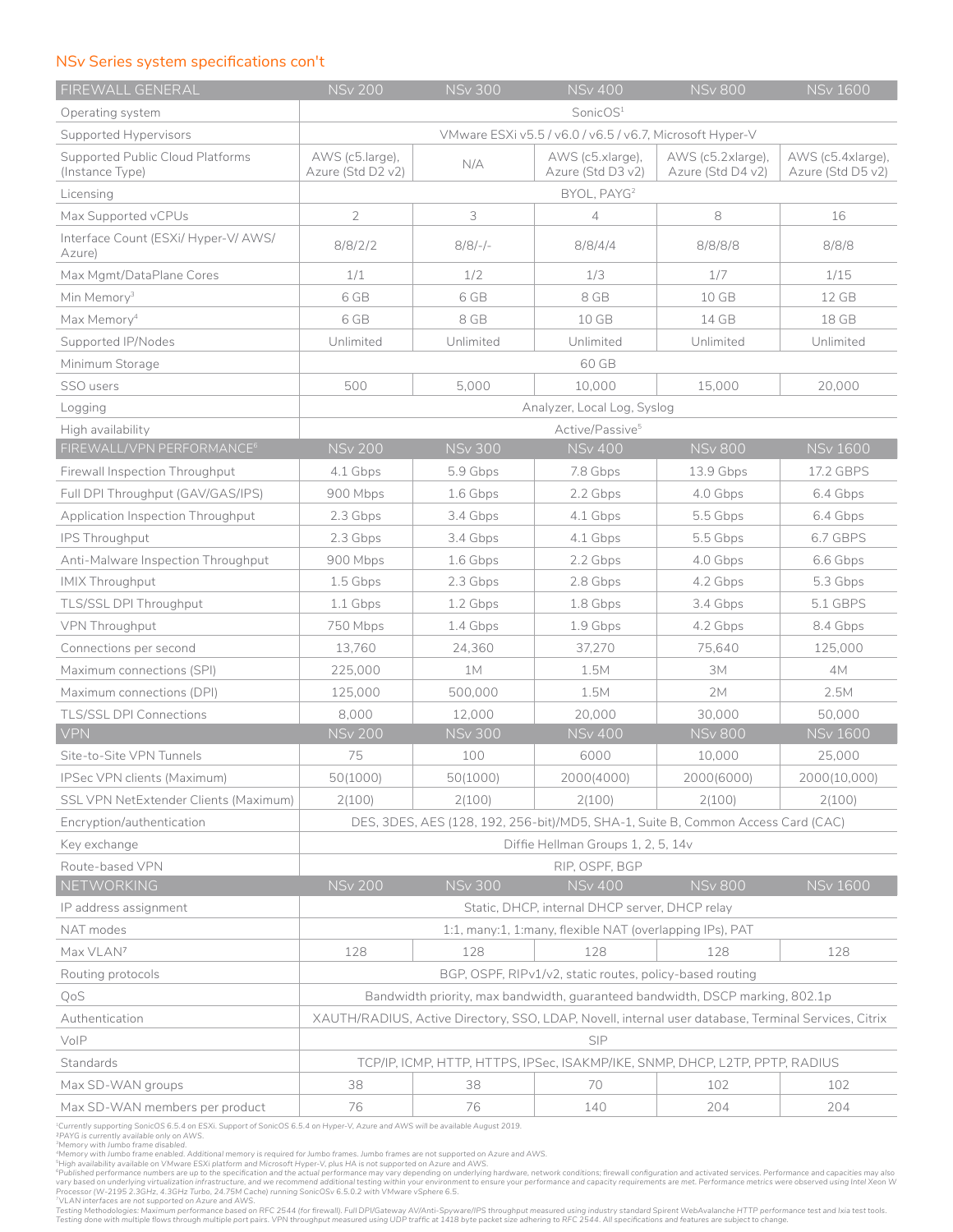### NS*v* Series system specifications con't

| FIREWALL GENERAL                                    | <b>NSv 200</b>                                                                                       | <b>NSv 300</b>           | <b>NSv 400</b>                                           | <b>NSv 800</b>                                                                   | <b>NSv 1600</b>                        |
|-----------------------------------------------------|------------------------------------------------------------------------------------------------------|--------------------------|----------------------------------------------------------|----------------------------------------------------------------------------------|----------------------------------------|
| Operating system                                    | SonicOS <sup>1</sup>                                                                                 |                          |                                                          |                                                                                  |                                        |
| Supported Hypervisors                               | VMware ESXi v5.5 / v6.0 / v6.5 / v6.7, Microsoft Hyper-V                                             |                          |                                                          |                                                                                  |                                        |
| Supported Public Cloud Platforms<br>(Instance Type) | AWS (c5.large),<br>Azure (Std D2 v2)                                                                 | N/A                      | AWS (c5.xlarge),<br>Azure (Std D3 v2)                    | AWS (c5.2xlarge),<br>Azure (Std D4 v2)                                           | AWS (c5.4xlarge),<br>Azure (Std D5 v2) |
| Licensing                                           | BYOL, PAYG <sup>2</sup>                                                                              |                          |                                                          |                                                                                  |                                        |
| Max Supported vCPUs                                 | $\overline{2}$                                                                                       | 3                        | $\overline{4}$                                           | 8                                                                                | 16                                     |
| Interface Count (ESXi/ Hyper-V/ AWS/<br>Azure)      | 8/8/2/2                                                                                              | $8/8/-$                  | 8/8/4/4                                                  | 8/8/8/8                                                                          | 8/8/8                                  |
| Max Mgmt/DataPlane Cores                            | 1/1                                                                                                  | 1/2                      | 1/3                                                      | 1/7                                                                              | 1/15                                   |
| Min Memory <sup>3</sup>                             | 6 GB                                                                                                 | 6 GB                     | 8 GB                                                     | 10 GB                                                                            | 12 GB                                  |
| Max Memory <sup>4</sup>                             | 6 GB                                                                                                 | 8 GB                     | 10 GB                                                    | 14 GB                                                                            | 18 GB                                  |
| Supported IP/Nodes                                  | Unlimited                                                                                            | Unlimited                | Unlimited                                                | Unlimited                                                                        | Unlimited                              |
| Minimum Storage                                     |                                                                                                      |                          | 60 GB                                                    |                                                                                  |                                        |
| SSO users                                           | 500                                                                                                  | 5,000                    | 10,000                                                   | 15,000                                                                           | 20,000                                 |
| Logging                                             |                                                                                                      |                          | Analyzer, Local Log, Syslog                              |                                                                                  |                                        |
| High availability                                   |                                                                                                      |                          | Active/Passive <sup>5</sup>                              |                                                                                  |                                        |
| FIREWALL/VPN PERFORMANCE <sup>6</sup>               | <b>NSv 200</b>                                                                                       | <b>NSv 300</b>           | <b>NSv 400</b>                                           | <b>NSv 800</b>                                                                   | <b>NSv 1600</b>                        |
| Firewall Inspection Throughput                      | 4.1 Gbps                                                                                             | 5.9 Gbps                 | 7.8 Gbps                                                 | 13.9 Gbps                                                                        | 17.2 GBPS                              |
| Full DPI Throughput (GAV/GAS/IPS)                   | 900 Mbps                                                                                             | 1.6 Gbps                 | 2.2 Gbps                                                 | 4.0 Gbps                                                                         | 6.4 Gbps                               |
| Application Inspection Throughput                   | 2.3 Gbps                                                                                             | 3.4 Gbps                 | 4.1 Gbps                                                 | 5.5 Gbps                                                                         | 6.4 Gbps                               |
| IPS Throughput                                      | 2.3 Gbps                                                                                             | 3.4 Gbps                 | 4.1 Gbps                                                 | 5.5 Gbps                                                                         | 6.7 GBPS                               |
| Anti-Malware Inspection Throughput                  | 900 Mbps                                                                                             | 1.6 Gbps                 | 2.2 Gbps                                                 | 4.0 Gbps                                                                         | 6.6 Gbps                               |
| <b>IMIX Throughput</b>                              | 1.5 Gbps                                                                                             | 2.3 Gbps                 | 2.8 Gbps                                                 | 4.2 Gbps                                                                         | 5.3 Gbps                               |
| TLS/SSL DPI Throughput                              | 1.1 Gbps                                                                                             | 1.2 Gbps                 | 1.8 Gbps                                                 | 3.4 Gbps                                                                         | 5.1 GBPS                               |
| VPN Throughput                                      | 750 Mbps                                                                                             | 1.4 Gbps                 | 1.9 Gbps                                                 | 4.2 Gbps                                                                         | 8.4 Gbps                               |
| Connections per second                              | 13,760                                                                                               | 24,360                   | 37,270                                                   | 75,640                                                                           | 125,000                                |
| Maximum connections (SPI)                           | 225,000                                                                                              | 1M                       | 1.5M                                                     | 3M                                                                               | 4M                                     |
| Maximum connections (DPI)                           | 125.000                                                                                              | 500.000                  | 1.5M                                                     | 2M                                                                               | 2.5M                                   |
| <b>TLS/SSL DPI Connections</b><br><b>VPN</b>        | 8,000<br><b>NSv 200</b>                                                                              | 12,000<br><b>NSv 300</b> | 20,000<br><b>NSv 400</b>                                 | 30,000<br><b>NSv 800</b>                                                         | 50,000<br><b>NSv 1600</b>              |
| Site-to-Site VPN Tunnels                            | 75                                                                                                   | 100                      | 6000                                                     | 10,000                                                                           | 25,000                                 |
| IPSec VPN clients (Maximum)                         | 50(1000)                                                                                             | 50(1000)                 | 2000(4000)                                               | 2000(6000)                                                                       | 2000(10,000)                           |
| SSL VPN NetExtender Clients (Maximum)               | 2(100)                                                                                               | 2(100)                   | 2(100)                                                   | 2(100)                                                                           | 2(100)                                 |
| Encryption/authentication                           |                                                                                                      |                          |                                                          | DES, 3DES, AES (128, 192, 256-bit)/MD5, SHA-1, Suite B, Common Access Card (CAC) |                                        |
| Key exchange                                        |                                                                                                      |                          | Diffie Hellman Groups 1, 2, 5, 14v                       |                                                                                  |                                        |
| Route-based VPN                                     |                                                                                                      |                          | RIP, OSPF, BGP                                           |                                                                                  |                                        |
| NETWORKING                                          | <b>NSv 200</b>                                                                                       | <b>NSv 300</b>           | <b>NSv 400</b>                                           | <b>NSv 800</b>                                                                   | <b>NSv 1600</b>                        |
| IP address assignment                               |                                                                                                      |                          | Static, DHCP, internal DHCP server, DHCP relay           |                                                                                  |                                        |
| NAT modes                                           | 1:1, many:1, 1:many, flexible NAT (overlapping IPs), PAT                                             |                          |                                                          |                                                                                  |                                        |
| Max VLAN7                                           | 128                                                                                                  | 128                      | 128                                                      | 128                                                                              | 128                                    |
| Routing protocols                                   |                                                                                                      |                          | BGP, OSPF, RIPv1/v2, static routes, policy-based routing |                                                                                  |                                        |
| QoS                                                 | Bandwidth priority, max bandwidth, quaranteed bandwidth, DSCP marking, 802.1p                        |                          |                                                          |                                                                                  |                                        |
| Authentication                                      | XAUTH/RADIUS, Active Directory, SSO, LDAP, Novell, internal user database, Terminal Services, Citrix |                          |                                                          |                                                                                  |                                        |
| VoIP                                                |                                                                                                      |                          | <b>SIP</b>                                               |                                                                                  |                                        |
| Standards                                           | TCP/IP, ICMP, HTTP, HTTPS, IPSec, ISAKMP/IKE, SNMP, DHCP, L2TP, PPTP, RADIUS                         |                          |                                                          |                                                                                  |                                        |
| Max SD-WAN groups                                   | 38                                                                                                   | 38                       | 70                                                       | 102                                                                              | 102                                    |
| Max SD-WAN members per product                      | 76                                                                                                   | 76                       | 140                                                      | 204                                                                              | 204                                    |

<sup>1</sup>Currently supporting SonicOS 6.5.4 on ESXi. Support of SonicOS 6.5.4 on Hyper-V, Azure and AWS will be available August 2019.

"Currently supporting SonicOS 6.5.4 on ESXi. Support of SonicOS 6.5.4 on Hyper-V, Azure and AWS will be available August 2019.<br>"PAYG is currently available only on AWS.<br>"Memory with Jumbo frame enabled. Additional memory i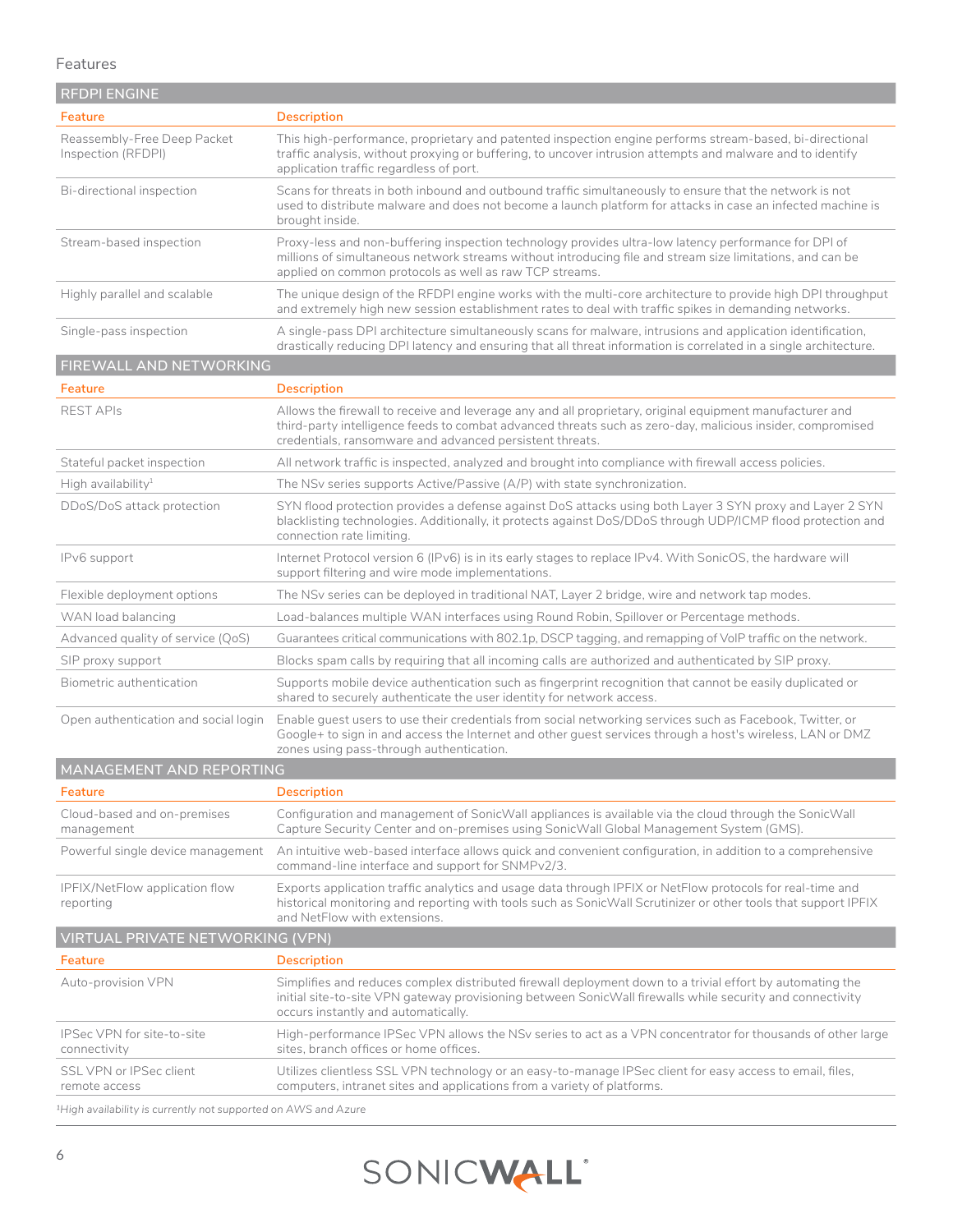## Features

| <b>REDPI ENGINE</b>                               |                                                                                                                                                                                                                                                                              |
|---------------------------------------------------|------------------------------------------------------------------------------------------------------------------------------------------------------------------------------------------------------------------------------------------------------------------------------|
| Feature                                           | <b>Description</b>                                                                                                                                                                                                                                                           |
| Reassembly-Free Deep Packet<br>Inspection (RFDPI) | This high-performance, proprietary and patented inspection engine performs stream-based, bi-directional<br>traffic analysis, without proxying or buffering, to uncover intrusion attempts and malware and to identify<br>application traffic regardless of port.             |
| Bi-directional inspection                         | Scans for threats in both inbound and outbound traffic simultaneously to ensure that the network is not<br>used to distribute malware and does not become a launch platform for attacks in case an infected machine is<br>brought inside.                                    |
| Stream-based inspection                           | Proxy-less and non-buffering inspection technology provides ultra-low latency performance for DPI of<br>millions of simultaneous network streams without introducing file and stream size limitations, and can be<br>applied on common protocols as well as raw TCP streams. |
| Highly parallel and scalable                      | The unique design of the RFDPI engine works with the multi-core architecture to provide high DPI throughput<br>and extremely high new session establishment rates to deal with traffic spikes in demanding networks.                                                         |
| Single-pass inspection                            | A single-pass DPI architecture simultaneously scans for malware, intrusions and application identification,<br>drastically reducing DPI latency and ensuring that all threat information is correlated in a single architecture.                                             |

## **FIREWALL AND NETWORKING**

| Feature                              | <b>Description</b>                                                                                                                                                                                                                                                                 |
|--------------------------------------|------------------------------------------------------------------------------------------------------------------------------------------------------------------------------------------------------------------------------------------------------------------------------------|
| <b>REST APIS</b>                     | Allows the firewall to receive and leverage any and all proprietary, original equipment manufacturer and<br>third-party intelligence feeds to combat advanced threats such as zero-day, malicious insider, compromised<br>credentials, ransomware and advanced persistent threats. |
| Stateful packet inspection           | All network traffic is inspected, analyzed and brought into compliance with firewall access policies.                                                                                                                                                                              |
| High availability <sup>1</sup>       | The NSv series supports $Active/Passive (A/P)$ with state synchronization.                                                                                                                                                                                                         |
| DDoS/DoS attack protection           | SYN flood protection provides a defense against DoS attacks using both Layer 3 SYN proxy and Layer 2 SYN<br>blacklisting technologies. Additionally, it protects against DoS/DDoS through UDP/ICMP flood protection and<br>connection rate limiting.                               |
| IPv6 support                         | Internet Protocol version 6 (IPv6) is in its early stages to replace IPv4. With SonicOS, the hardware will<br>support filtering and wire mode implementations.                                                                                                                     |
| Flexible deployment options          | The NSv series can be deployed in traditional NAT, Layer 2 bridge, wire and network tap modes.                                                                                                                                                                                     |
| WAN load balancing                   | Load-balances multiple WAN interfaces using Round Robin, Spillover or Percentage methods.                                                                                                                                                                                          |
| Advanced quality of service (QoS)    | Guarantees critical communications with 802.1p, DSCP tagging, and remapping of VoIP traffic on the network.                                                                                                                                                                        |
| SIP proxy support                    | Blocks spam calls by requiring that all incoming calls are authorized and authenticated by SIP proxy.                                                                                                                                                                              |
| Biometric authentication             | Supports mobile device authentication such as fingerprint recognition that cannot be easily duplicated or<br>shared to securely authenticate the user identity for network access.                                                                                                 |
| Open authentication and social login | Enable quest users to use their credentials from social networking services such as Facebook, Twitter, or<br>Google+ to sign in and access the Internet and other guest services through a host's wireless, LAN or DMZ<br>zones using pass-through authentication.                 |
| MANAGEMENT AND REPORTING             |                                                                                                                                                                                                                                                                                    |

| Feature                                     | <b>Description</b>                                                                                                                                                                                                                                            |
|---------------------------------------------|---------------------------------------------------------------------------------------------------------------------------------------------------------------------------------------------------------------------------------------------------------------|
| Cloud-based and on-premises<br>management   | Configuration and management of SonicWall appliances is available via the cloud through the SonicWall<br>Capture Security Center and on-premises using SonicWall Global Management System (GMS).                                                              |
| Powerful single device management           | An intuitive web-based interface allows quick and convenient configuration, in addition to a comprehensive<br>command-line interface and support for SNMPv2/3.                                                                                                |
| IPFIX/NetFlow application flow<br>reporting | Exports application traffic analytics and usage data through IPFIX or NetFlow protocols for real-time and<br>historical monitoring and reporting with tools such as SonicWall Scrutinizer or other tools that support IPFIX<br>and NetFlow with extensions.   |
| VIRTUAL PRIVATE NETWORKING (VPN)            |                                                                                                                                                                                                                                                               |
| Feature                                     | <b>Description</b>                                                                                                                                                                                                                                            |
| Auto-provision VPN                          | Simplifies and reduces complex distributed firewall deployment down to a trivial effort by automating the<br>initial site-to-site VPN gateway provisioning between SonicWall firewalls while security and connectivity<br>occurs instantly and automatically. |
| IPSec VPN for site-to-site<br>connectivity  | High-performance IPSec VPN allows the NS <sub>V</sub> series to act as a VPN concentrator for thousands of other large<br>sites, branch offices or home offices.                                                                                              |
| SSL VPN or IPSec client<br>remote access    | Utilizes clientless SSL VPN technology or an easy-to-manage IPSec client for easy access to email, files,<br>computers, intranet sites and applications from a variety of platforms.                                                                          |

*1High availability is currently not supported on AWS and Azure*

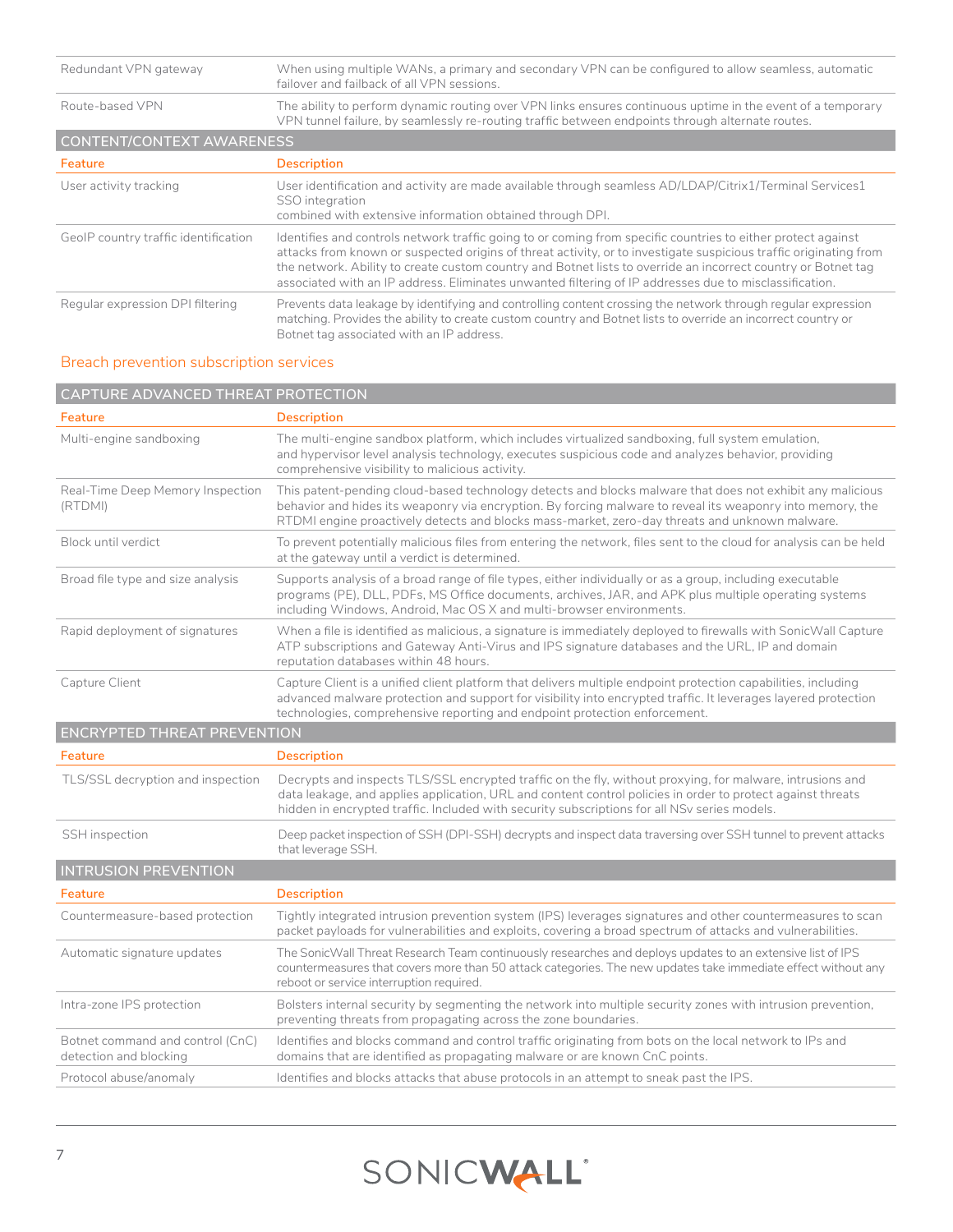| Redundant VPN gateway                | When using multiple WANs, a primary and secondary VPN can be configured to allow seamless, automatic<br>failover and failback of all VPN sessions.                                                                                                                                                                                                                                                                                                           |
|--------------------------------------|--------------------------------------------------------------------------------------------------------------------------------------------------------------------------------------------------------------------------------------------------------------------------------------------------------------------------------------------------------------------------------------------------------------------------------------------------------------|
| Route-based VPN                      | The ability to perform dynamic routing over VPN links ensures continuous uptime in the event of a temporary<br>VPN tunnel failure, by seamlessly re-routing traffic between endpoints through alternate routes.                                                                                                                                                                                                                                              |
| CONTENT/CONTEXT AWARENESS            |                                                                                                                                                                                                                                                                                                                                                                                                                                                              |
| Feature                              | <b>Description</b>                                                                                                                                                                                                                                                                                                                                                                                                                                           |
| User activity tracking               | User identification and activity are made available through seamless AD/LDAP/Citrix1/Terminal Services1<br>SSO integration<br>combined with extensive information obtained through DPI.                                                                                                                                                                                                                                                                      |
| GeolP country traffic identification | Identifies and controls network traffic going to or coming from specific countries to either protect against<br>attacks from known or suspected origins of threat activity, or to investigate suspicious traffic originating from<br>the network. Ability to create custom country and Botnet lists to override an incorrect country or Botnet tag<br>associated with an IP address. Eliminates unwanted filtering of IP addresses due to misclassification. |
| Regular expression DPI filtering     | Prevents data leakage by identifying and controlling content crossing the network through regular expression<br>matching. Provides the ability to create custom country and Botnet lists to override an incorrect country or<br>Botnet tag associated with an IP address.                                                                                                                                                                                    |

## Breach prevention subscription services

| CAPTURE ADVANCED THREAT PROTECTION                         |                                                                                                                                                                                                                                                                                                                           |  |  |
|------------------------------------------------------------|---------------------------------------------------------------------------------------------------------------------------------------------------------------------------------------------------------------------------------------------------------------------------------------------------------------------------|--|--|
| Feature                                                    | <b>Description</b>                                                                                                                                                                                                                                                                                                        |  |  |
| Multi-engine sandboxing                                    | The multi-engine sandbox platform, which includes virtualized sandboxing, full system emulation,<br>and hypervisor level analysis technology, executes suspicious code and analyzes behavior, providing<br>comprehensive visibility to malicious activity.                                                                |  |  |
| Real-Time Deep Memory Inspection<br>(RTDMI)                | This patent-pending cloud-based technology detects and blocks malware that does not exhibit any malicious<br>behavior and hides its weaponry via encryption. By forcing malware to reveal its weaponry into memory, the<br>RTDMI engine proactively detects and blocks mass-market, zero-day threats and unknown malware. |  |  |
| Block until verdict                                        | To prevent potentially malicious files from entering the network, files sent to the cloud for analysis can be held<br>at the gateway until a verdict is determined.                                                                                                                                                       |  |  |
| Broad file type and size analysis                          | Supports analysis of a broad range of file types, either individually or as a group, including executable<br>programs (PE), DLL, PDFs, MS Office documents, archives, JAR, and APK plus multiple operating systems<br>including Windows, Android, Mac OS X and multi-browser environments.                                |  |  |
| Rapid deployment of signatures                             | When a file is identified as malicious, a signature is immediately deployed to firewalls with SonicWall Capture<br>ATP subscriptions and Gateway Anti-Virus and IPS signature databases and the URL, IP and domain<br>reputation databases within 48 hours.                                                               |  |  |
| Capture Client                                             | Capture Client is a unified client platform that delivers multiple endpoint protection capabilities, including<br>advanced malware protection and support for visibility into encrypted traffic. It leverages layered protection<br>technologies, comprehensive reporting and endpoint protection enforcement.            |  |  |
| <b>ENCRYPTED THREAT PREVENTION</b>                         |                                                                                                                                                                                                                                                                                                                           |  |  |
| Feature                                                    | <b>Description</b>                                                                                                                                                                                                                                                                                                        |  |  |
| TLS/SSL decryption and inspection                          | Decrypts and inspects TLS/SSL encrypted traffic on the fly, without proxying, for malware, intrusions and<br>data leakage, and applies application, URL and content control policies in order to protect against threats<br>hidden in encrypted traffic. Included with security subscriptions for all NSv series models.  |  |  |
| SSH inspection                                             | Deep packet inspection of SSH (DPI-SSH) decrypts and inspect data traversing over SSH tunnel to prevent attacks<br>that leverage SSH.                                                                                                                                                                                     |  |  |
| <b>INTRUSION PREVENTION</b>                                |                                                                                                                                                                                                                                                                                                                           |  |  |
| Feature                                                    | <b>Description</b>                                                                                                                                                                                                                                                                                                        |  |  |
| Countermeasure-based protection                            | Tightly integrated intrusion prevention system (IPS) leverages signatures and other countermeasures to scan<br>packet payloads for vulnerabilities and exploits, covering a broad spectrum of attacks and vulnerabilities.                                                                                                |  |  |
| Automatic signature updates                                | The SonicWall Threat Research Team continuously researches and deploys updates to an extensive list of IPS<br>countermeasures that covers more than 50 attack categories. The new updates take immediate effect without any<br>reboot or service interruption required.                                                   |  |  |
| Intra-zone IPS protection                                  | Bolsters internal security by segmenting the network into multiple security zones with intrusion prevention,<br>preventing threats from propagating across the zone boundaries.                                                                                                                                           |  |  |
| Botnet command and control (CnC)<br>detection and blocking | Identifies and blocks command and control traffic originating from bots on the local network to IPs and<br>domains that are identified as propagating malware or are known CnC points.                                                                                                                                    |  |  |
| Protocol abuse/anomaly                                     | Identifies and blocks attacks that abuse protocols in an attempt to sneak past the IPS.                                                                                                                                                                                                                                   |  |  |

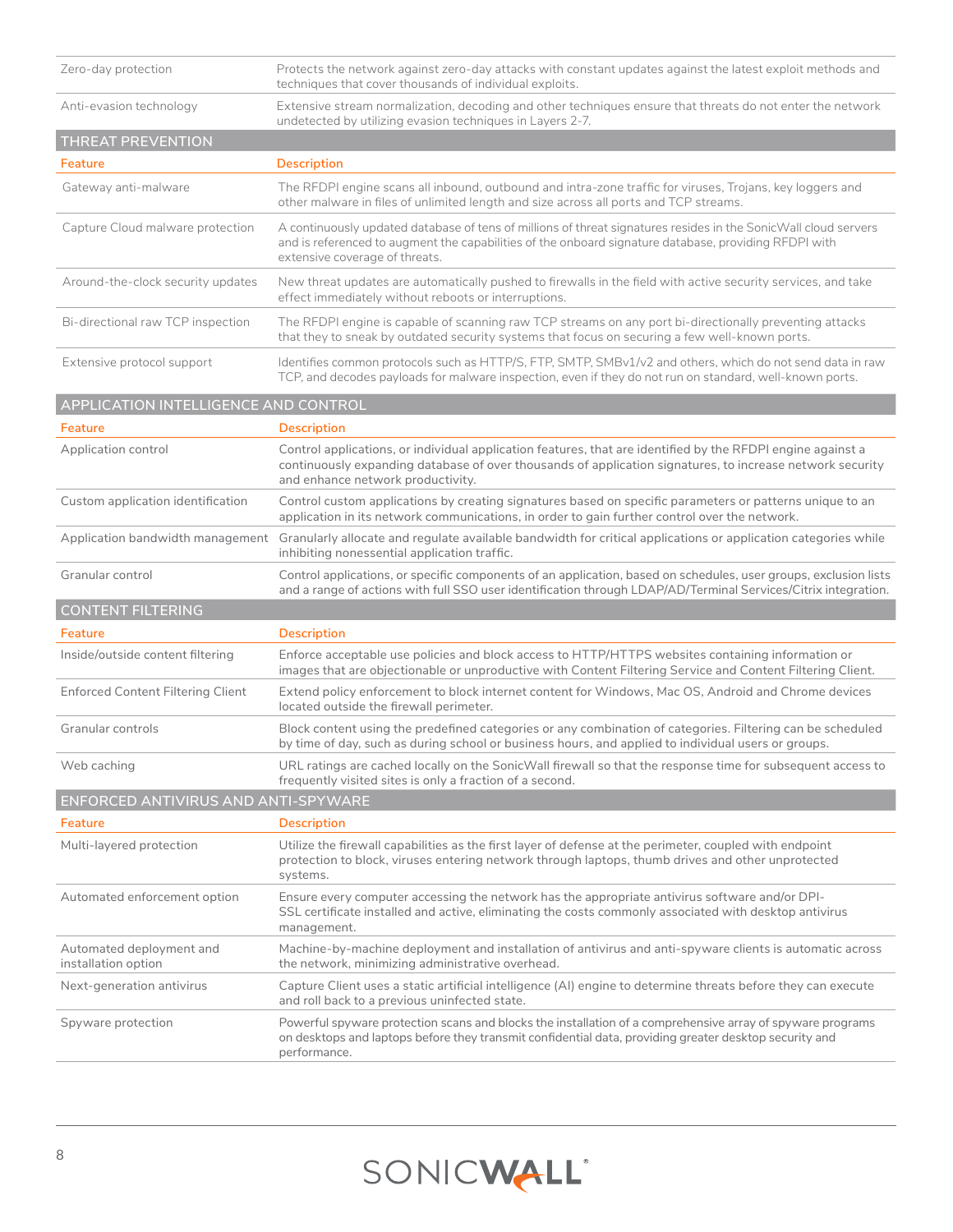| Zero-day protection                             | Protects the network against zero-day attacks with constant updates against the latest exploit methods and<br>techniques that cover thousands of individual exploits.                                                                                         |
|-------------------------------------------------|---------------------------------------------------------------------------------------------------------------------------------------------------------------------------------------------------------------------------------------------------------------|
| Anti-evasion technology                         | Extensive stream normalization, decoding and other techniques ensure that threats do not enter the network<br>undetected by utilizing evasion techniques in Layers 2-7.                                                                                       |
| THREAT PREVENTION                               |                                                                                                                                                                                                                                                               |
| Feature                                         | <b>Description</b>                                                                                                                                                                                                                                            |
| Gateway anti-malware                            | The RFDPI engine scans all inbound, outbound and intra-zone traffic for viruses, Trojans, key loggers and<br>other malware in files of unlimited length and size across all ports and TCP streams.                                                            |
| Capture Cloud malware protection                | A continuously updated database of tens of millions of threat signatures resides in the SonicWall cloud servers<br>and is referenced to augment the capabilities of the onboard signature database, providing RFDPI with<br>extensive coverage of threats.    |
| Around-the-clock security updates               | New threat updates are automatically pushed to firewalls in the field with active security services, and take<br>effect immediately without reboots or interruptions.                                                                                         |
| Bi-directional raw TCP inspection               | The RFDPI engine is capable of scanning raw TCP streams on any port bi-directionally preventing attacks<br>that they to sneak by outdated security systems that focus on securing a few well-known ports.                                                     |
| Extensive protocol support                      | Identifies common protocols such as HTTP/S, FTP, SMTP, SMBv1/v2 and others, which do not send data in raw<br>TCP, and decodes payloads for malware inspection, even if they do not run on standard, well-known ports.                                         |
| APPLICATION INTELLIGENCE AND CONTROL            |                                                                                                                                                                                                                                                               |
| Feature                                         | <b>Description</b>                                                                                                                                                                                                                                            |
| Application control                             | Control applications, or individual application features, that are identified by the RFDPI engine against a<br>continuously expanding database of over thousands of application signatures, to increase network security<br>and enhance network productivity. |
| Custom application identification               | Control custom applications by creating signatures based on specific parameters or patterns unique to an<br>application in its network communications, in order to gain further control over the network.                                                     |
| Application bandwidth management                | Granularly allocate and regulate available bandwidth for critical applications or application categories while<br>inhibiting nonessential application traffic.                                                                                                |
| Granular control                                | Control applications, or specific components of an application, based on schedules, user groups, exclusion lists<br>and a range of actions with full SSO user identification through LDAP/AD/Terminal Services/Citrix integration.                            |
| <b>CONTENT FILTERING</b>                        |                                                                                                                                                                                                                                                               |
| Feature                                         | Description                                                                                                                                                                                                                                                   |
| Inside/outside content filtering                | Enforce acceptable use policies and block access to HTTP/HTTPS websites containing information or<br>images that are objectionable or unproductive with Content Filtering Service and Content Filtering Client.                                               |
| <b>Enforced Content Filtering Client</b>        | Extend policy enforcement to block internet content for Windows, Mac OS, Android and Chrome devices<br>located outside the firewall perimeter.                                                                                                                |
| Granular controls                               | Block content using the predefined categories or any combination of categories. Filtering can be scheduled<br>by time of day, such as during school or business hours, and applied to individual users or groups.                                             |
| Web caching                                     | URL ratings are cached locally on the SonicWall firewall so that the response time for subsequent access to<br>frequently visited sites is only a fraction of a second.                                                                                       |
| ENFORCED ANTIVIRUS AND ANTI-SPYWARE             |                                                                                                                                                                                                                                                               |
| <b>Feature</b>                                  | <b>Description</b>                                                                                                                                                                                                                                            |
| Multi-layered protection                        | Utilize the firewall capabilities as the first layer of defense at the perimeter, coupled with endpoint<br>protection to block, viruses entering network through laptops, thumb drives and other unprotected<br>systems.                                      |
| Automated enforcement option                    | Ensure every computer accessing the network has the appropriate antivirus software and/or DPI-<br>SSL certificate installed and active, eliminating the costs commonly associated with desktop antivirus<br>management.                                       |
| Automated deployment and<br>installation option | Machine-by-machine deployment and installation of antivirus and anti-spyware clients is automatic across<br>the network, minimizing administrative overhead.                                                                                                  |
| Next-generation antivirus                       | Capture Client uses a static artificial intelligence (AI) engine to determine threats before they can execute<br>and roll back to a previous uninfected state.                                                                                                |
| Spyware protection                              | Powerful spyware protection scans and blocks the installation of a comprehensive array of spyware programs<br>on desktops and laptops before they transmit confidential data, providing greater desktop security and<br>performance.                          |

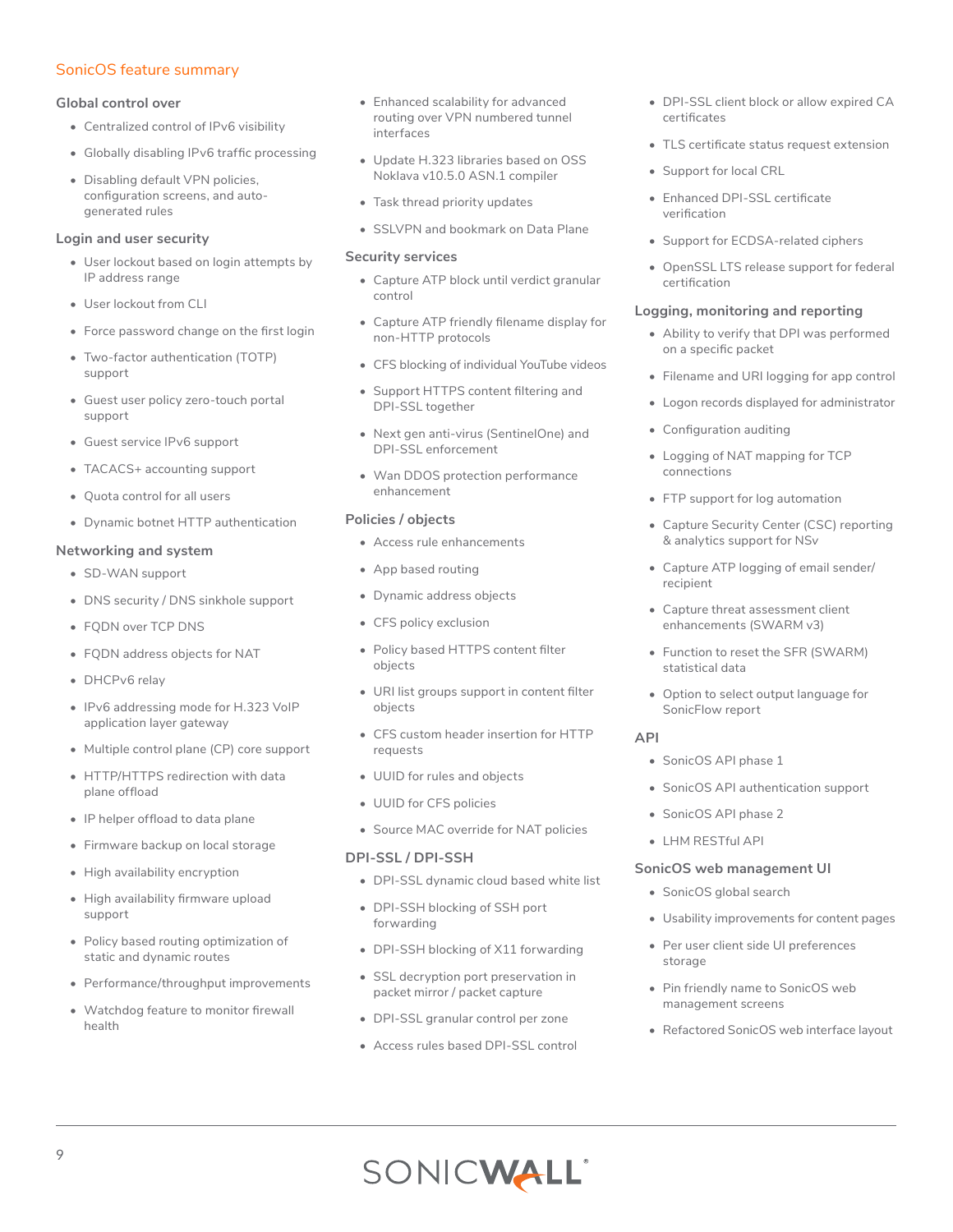## SonicOS feature summary

#### **Global control over**

- Centralized control of IPv6 visibility
- Globally disabling IPv6 traffic processing
- Disabling default VPN policies, configuration screens, and autogenerated rules

#### **Login and user security**

- User lockout based on login attempts by IP address range
- User lockout from CLI
- Force password change on the first login
- Two-factor authentication (TOTP) support
- Guest user policy zero-touch portal support
- Guest service IPv6 support
- TACACS+ accounting support
- Quota control for all users
- Dynamic botnet HTTP authentication

#### **Networking and system**

- SD-WAN support
- DNS security / DNS sinkhole support
- FQDN over TCP DNS
- FQDN address objects for NAT
- DHCPv6 relay
- IPv6 addressing mode for H.323 VoIP application layer gateway
- Multiple control plane (CP) core support
- HTTP/HTTPS redirection with data plane offload
- IP helper offload to data plane
- Firmware backup on local storage
- High availability encryption
- High availability firmware upload support
- Policy based routing optimization of static and dynamic routes
- Performance/throughput improvements
- Watchdog feature to monitor firewall health
- Enhanced scalability for advanced routing over VPN numbered tunnel interfaces
- Update H.323 libraries based on OSS Noklava v10.5.0 ASN.1 compiler
- Task thread priority updates
- SSLVPN and bookmark on Data Plane

#### **Security services**

- Capture ATP block until verdict granular control
- Capture ATP friendly filename display for non-HTTP protocols
- CFS blocking of individual YouTube videos
- Support HTTPS content filtering and DPI-SSL together
- Next gen anti-virus (SentinelOne) and DPI-SSL enforcement
- Wan DDOS protection performance enhancement

#### **Policies / objects**

- Access rule enhancements
- App based routing
- Dynamic address objects
- CFS policy exclusion
- Policy based HTTPS content filter objects
- URI list groups support in content filter objects
- CFS custom header insertion for HTTP requests
- UUID for rules and objects
- UUID for CFS policies
- Source MAC override for NAT policies

#### **DPI-SSL / DPI-SSH**

- DPI-SSL dynamic cloud based white list
- DPI-SSH blocking of SSH port forwarding
- DPI-SSH blocking of X11 forwarding
- SSL decryption port preservation in packet mirror / packet capture
- DPI-SSL granular control per zone
- Access rules based DPI-SSL control
- DPI-SSL client block or allow expired CA certificates
- TLS certificate status request extension
- Support for local CRL
- Enhanced DPI-SSL certificate verification
- Support for ECDSA-related ciphers
- OpenSSL LTS release support for federal certification

#### **Logging, monitoring and reporting**

- Ability to verify that DPI was performed on a specific packet
- Filename and URI logging for app control
- Logon records displayed for administrator
- Configuration auditing
- Logging of NAT mapping for TCP connections
- FTP support for log automation
- Capture Security Center (CSC) reporting & analytics support for NS*v*
- Capture ATP logging of email sender/ recipient
- Capture threat assessment client enhancements (SWARM v3)
- Function to reset the SFR (SWARM) statistical data
- Option to select output language for SonicFlow report

#### **API**

- SonicOS API phase 1
- SonicOS API authentication support
- SonicOS API phase 2
- LHM RESTful API

#### **SonicOS web management UI**

- SonicOS global search
- Usability improvements for content pages
- Per user client side UI preferences storage
- Pin friendly name to SonicOS web management screens
- Refactored SonicOS web interface layout